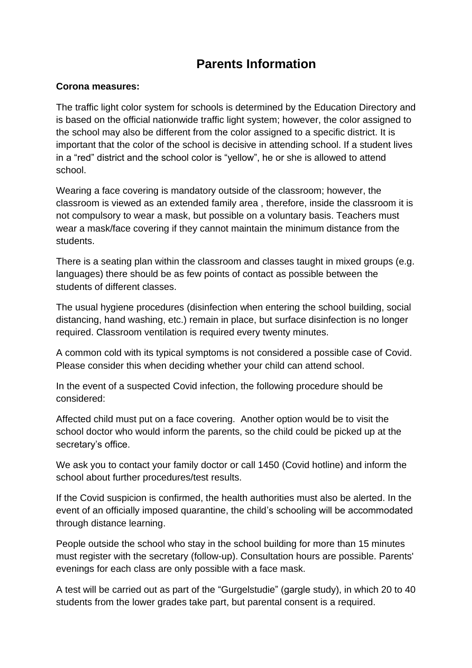## **Parents Information**

## **Corona measures:**

The traffic light color system for schools is determined by the Education Directory and is based on the official nationwide traffic light system; however, the color assigned to the school may also be different from the color assigned to a specific district. It is important that the color of the school is decisive in attending school. If a student lives in a "red" district and the school color is "yellow", he or she is allowed to attend school.

Wearing a face covering is mandatory outside of the classroom; however, the classroom is viewed as an extended family area , therefore, inside the classroom it is not compulsory to wear a mask, but possible on a voluntary basis. Teachers must wear a mask/face covering if they cannot maintain the minimum distance from the students.

There is a seating plan within the classroom and classes taught in mixed groups (e.g. languages) there should be as few points of contact as possible between the students of different classes.

The usual hygiene procedures (disinfection when entering the school building, social distancing, hand washing, etc.) remain in place, but surface disinfection is no longer required. Classroom ventilation is required every twenty minutes.

A common cold with its typical symptoms is not considered a possible case of Covid. Please consider this when deciding whether your child can attend school.

In the event of a suspected Covid infection, the following procedure should be considered:

Affected child must put on a face covering. Another option would be to visit the school doctor who would inform the parents, so the child could be picked up at the secretary's office.

We ask you to contact your family doctor or call 1450 (Covid hotline) and inform the school about further procedures/test results.

If the Covid suspicion is confirmed, the health authorities must also be alerted. In the event of an officially imposed quarantine, the child's schooling will be accommodated through distance learning.

People outside the school who stay in the school building for more than 15 minutes must register with the secretary (follow-up). Consultation hours are possible. Parents' evenings for each class are only possible with a face mask.

A test will be carried out as part of the "Gurgelstudie" (gargle study), in which 20 to 40 students from the lower grades take part, but parental consent is a required.